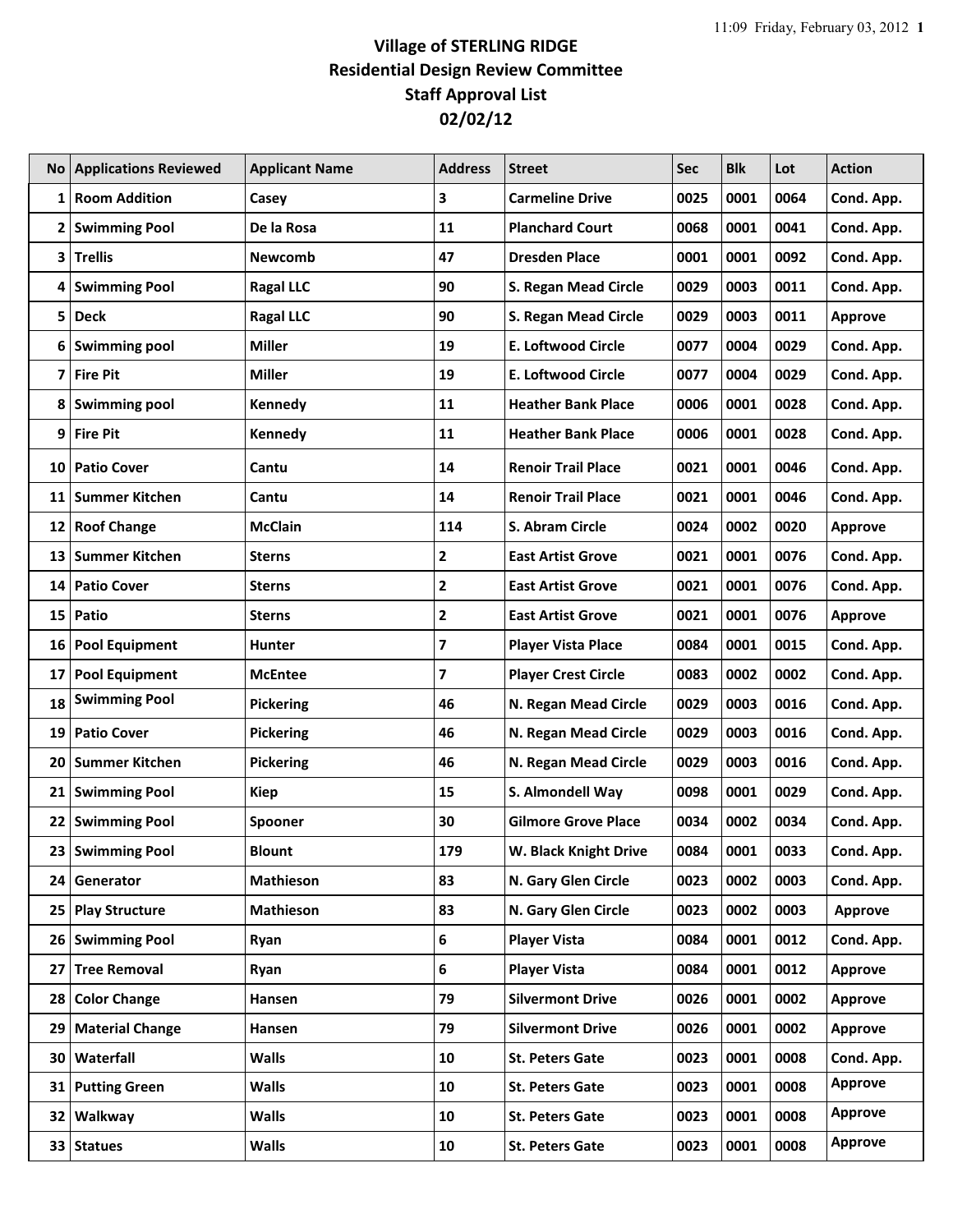## **Village of STERLING RIDGE Residential Design Review Committee Staff Approval List 02/02/12**

|    | <b>No Applications Reviewed</b> | <b>Applicant Name</b> | <b>Address</b>          | <b>Street</b>              | <b>Sec</b> | <b>Blk</b> | Lot  | <b>Action</b>  |
|----|---------------------------------|-----------------------|-------------------------|----------------------------|------------|------------|------|----------------|
| 1  | <b>Room Addition</b>            | Casey                 | 3                       | <b>Carmeline Drive</b>     | 0025       | 0001       | 0064 | Cond. App.     |
| 2  | <b>Swimming Pool</b>            | De la Rosa            | 11                      | <b>Planchard Court</b>     | 0068       | 0001       | 0041 | Cond. App.     |
| 3  | <b>Trellis</b>                  | <b>Newcomb</b>        | 47                      | <b>Dresden Place</b>       | 0001       | 0001       | 0092 | Cond. App.     |
| 4  | <b>Swimming Pool</b>            | <b>Ragal LLC</b>      | 90                      | S. Regan Mead Circle       | 0029       | 0003       | 0011 | Cond. App.     |
| 5  | <b>Deck</b>                     | <b>Ragal LLC</b>      | 90                      | S. Regan Mead Circle       | 0029       | 0003       | 0011 | <b>Approve</b> |
| 6  | <b>Swimming pool</b>            | <b>Miller</b>         | 19                      | <b>E. Loftwood Circle</b>  | 0077       | 0004       | 0029 | Cond. App.     |
| 7  | <b>Fire Pit</b>                 | <b>Miller</b>         | 19                      | <b>E. Loftwood Circle</b>  | 0077       | 0004       | 0029 | Cond. App.     |
| 8  | <b>Swimming pool</b>            | Kennedy               | 11                      | <b>Heather Bank Place</b>  | 0006       | 0001       | 0028 | Cond. App.     |
| 9  | <b>Fire Pit</b>                 | Kennedy               | 11                      | <b>Heather Bank Place</b>  | 0006       | 0001       | 0028 | Cond. App.     |
| 10 | <b>Patio Cover</b>              | Cantu                 | 14                      | <b>Renoir Trail Place</b>  | 0021       | 0001       | 0046 | Cond. App.     |
| 11 | <b>Summer Kitchen</b>           | Cantu                 | 14                      | <b>Renoir Trail Place</b>  | 0021       | 0001       | 0046 | Cond. App.     |
| 12 | <b>Roof Change</b>              | <b>McClain</b>        | 114                     | S. Abram Circle            | 0024       | 0002       | 0020 | <b>Approve</b> |
| 13 | <b>Summer Kitchen</b>           | Sterns                | 2                       | <b>East Artist Grove</b>   | 0021       | 0001       | 0076 | Cond. App.     |
| 14 | <b>Patio Cover</b>              | Sterns                | $\overline{\mathbf{2}}$ | <b>East Artist Grove</b>   | 0021       | 0001       | 0076 | Cond. App.     |
| 15 | Patio                           | <b>Sterns</b>         | $\mathbf 2$             | <b>East Artist Grove</b>   | 0021       | 0001       | 0076 | <b>Approve</b> |
| 16 | <b>Pool Equipment</b>           | <b>Hunter</b>         | 7                       | <b>Player Vista Place</b>  | 0084       | 0001       | 0015 | Cond. App.     |
| 17 | <b>Pool Equipment</b>           | <b>McEntee</b>        | 7                       | <b>Player Crest Circle</b> | 0083       | 0002       | 0002 | Cond. App.     |
| 18 | <b>Swimming Pool</b>            | <b>Pickering</b>      | 46                      | N. Regan Mead Circle       | 0029       | 0003       | 0016 | Cond. App.     |
| 19 | <b>Patio Cover</b>              | <b>Pickering</b>      | 46                      | N. Regan Mead Circle       | 0029       | 0003       | 0016 | Cond. App.     |
| 20 | <b>Summer Kitchen</b>           | <b>Pickering</b>      | 46                      | N. Regan Mead Circle       | 0029       | 0003       | 0016 | Cond. App.     |
| 21 | <b>Swimming Pool</b>            | <b>Kiep</b>           | 15                      | S. Almondell Way           | 0098       | 0001       | 0029 | Cond. App.     |
|    | 22 Swimming Pool                | Spooner               | 30                      | <b>Gilmore Grove Place</b> | 0034       | 0002       | 0034 | Cond. App.     |
| 23 | <b>Swimming Pool</b>            | <b>Blount</b>         | 179                     | W. Black Knight Drive      | 0084       | 0001       | 0033 | Cond. App.     |
| 24 | Generator                       | Mathieson             | 83                      | N. Gary Glen Circle        | 0023       | 0002       | 0003 | Cond. App.     |
| 25 | <b>Play Structure</b>           | Mathieson             | 83                      | N. Gary Glen Circle        | 0023       | 0002       | 0003 | <b>Approve</b> |
| 26 | <b>Swimming Pool</b>            | Ryan                  | 6                       | <b>Player Vista</b>        | 0084       | 0001       | 0012 | Cond. App.     |
| 27 | <b>Tree Removal</b>             | Ryan                  | 6                       | <b>Player Vista</b>        | 0084       | 0001       | 0012 | Approve        |
| 28 | <b>Color Change</b>             | Hansen                | 79                      | <b>Silvermont Drive</b>    | 0026       | 0001       | 0002 | <b>Approve</b> |
| 29 | <b>Material Change</b>          | Hansen                | 79                      | <b>Silvermont Drive</b>    | 0026       | 0001       | 0002 | <b>Approve</b> |
| 30 | Waterfall                       | <b>Walls</b>          | 10                      | <b>St. Peters Gate</b>     | 0023       | 0001       | 0008 | Cond. App.     |
| 31 | <b>Putting Green</b>            | <b>Walls</b>          | 10                      | <b>St. Peters Gate</b>     | 0023       | 0001       | 0008 | <b>Approve</b> |
| 32 | Walkway                         | <b>Walls</b>          | 10                      | <b>St. Peters Gate</b>     | 0023       | 0001       | 0008 | <b>Approve</b> |
|    | 33 Statues                      | <b>Walls</b>          | 10                      | <b>St. Peters Gate</b>     | 0023       | 0001       | 0008 | <b>Approve</b> |